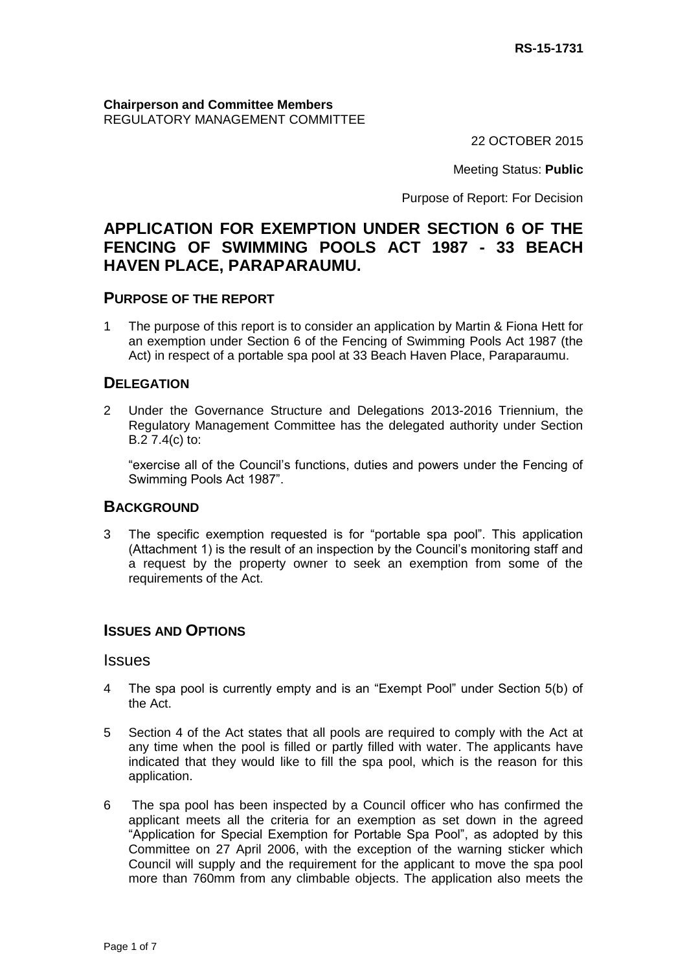#### **Chairperson and Committee Members** REGULATORY MANAGEMENT COMMITTEE

22 OCTOBER 2015

Meeting Status: **Public**

Purpose of Report: For Decision

# **APPLICATION FOR EXEMPTION UNDER SECTION 6 OF THE FENCING OF SWIMMING POOLS ACT 1987 - 33 BEACH HAVEN PLACE, PARAPARAUMU.**

### **PURPOSE OF THE REPORT**

1 The purpose of this report is to consider an application by Martin & Fiona Hett for an exemption under Section 6 of the Fencing of Swimming Pools Act 1987 (the Act) in respect of a portable spa pool at 33 Beach Haven Place, Paraparaumu.

# **DELEGATION**

2 Under the Governance Structure and Delegations 2013-2016 Triennium, the Regulatory Management Committee has the delegated authority under Section B.2 7.4(c) to:

"exercise all of the Council's functions, duties and powers under the Fencing of Swimming Pools Act 1987".

#### **BACKGROUND**

3 The specific exemption requested is for "portable spa pool". This application (Attachment 1) is the result of an inspection by the Council's monitoring staff and a request by the property owner to seek an exemption from some of the requirements of the Act.

# **ISSUES AND OPTIONS**

#### Issues

- 4 The spa pool is currently empty and is an "Exempt Pool" under Section 5(b) of the Act.
- 5 Section 4 of the Act states that all pools are required to comply with the Act at any time when the pool is filled or partly filled with water. The applicants have indicated that they would like to fill the spa pool, which is the reason for this application.
- 6 The spa pool has been inspected by a Council officer who has confirmed the applicant meets all the criteria for an exemption as set down in the agreed "Application for Special Exemption for Portable Spa Pool", as adopted by this Committee on 27 April 2006, with the exception of the warning sticker which Council will supply and the requirement for the applicant to move the spa pool more than 760mm from any climbable objects. The application also meets the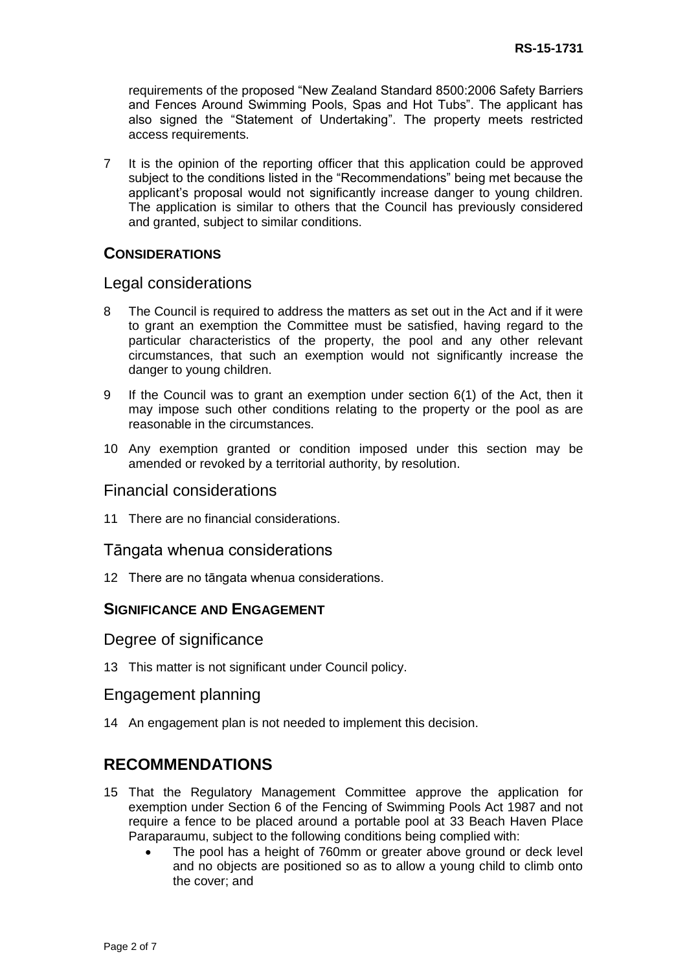requirements of the proposed "New Zealand Standard 8500:2006 Safety Barriers and Fences Around Swimming Pools, Spas and Hot Tubs". The applicant has also signed the "Statement of Undertaking". The property meets restricted access requirements.

7 It is the opinion of the reporting officer that this application could be approved subject to the conditions listed in the "Recommendations" being met because the applicant's proposal would not significantly increase danger to young children. The application is similar to others that the Council has previously considered and granted, subject to similar conditions.

# **CONSIDERATIONS**

#### Legal considerations

- 8 The Council is required to address the matters as set out in the Act and if it were to grant an exemption the Committee must be satisfied, having regard to the particular characteristics of the property, the pool and any other relevant circumstances, that such an exemption would not significantly increase the danger to young children.
- 9 If the Council was to grant an exemption under section 6(1) of the Act, then it may impose such other conditions relating to the property or the pool as are reasonable in the circumstances.
- 10 Any exemption granted or condition imposed under this section may be amended or revoked by a territorial authority, by resolution.

### Financial considerations

11 There are no financial considerations.

#### Tāngata whenua considerations

12 There are no tāngata whenua considerations.

# **SIGNIFICANCE AND ENGAGEMENT**

### Degree of significance

13 This matter is not significant under Council policy.

#### Engagement planning

14 An engagement plan is not needed to implement this decision.

# **RECOMMENDATIONS**

- 15 That the Regulatory Management Committee approve the application for exemption under Section 6 of the Fencing of Swimming Pools Act 1987 and not require a fence to be placed around a portable pool at 33 Beach Haven Place Paraparaumu, subject to the following conditions being complied with:
	- The pool has a height of 760mm or greater above ground or deck level and no objects are positioned so as to allow a young child to climb onto the cover; and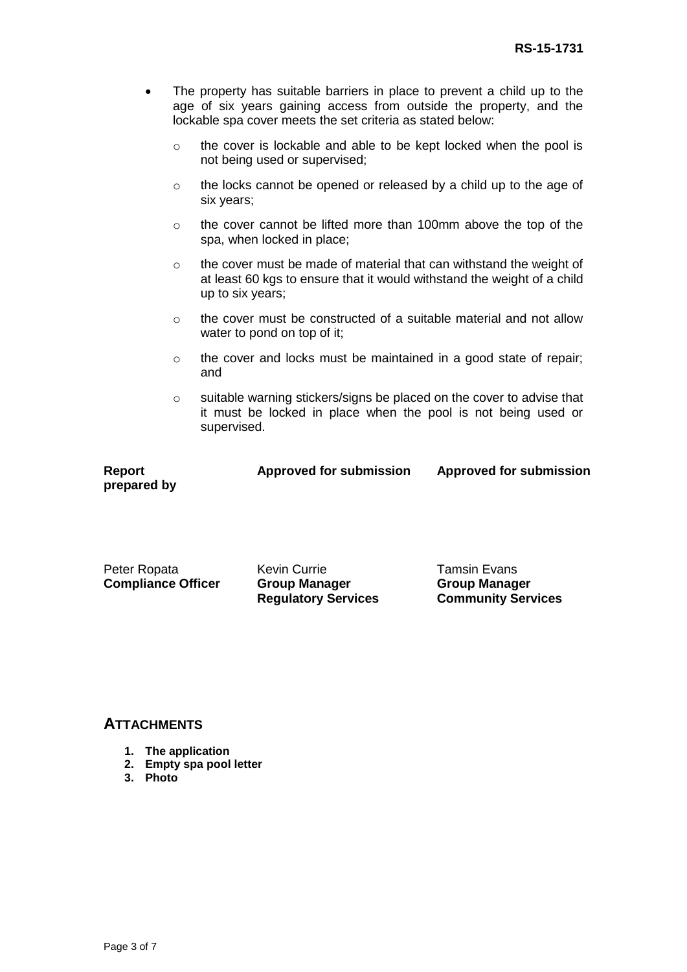- The property has suitable barriers in place to prevent a child up to the age of six years gaining access from outside the property, and the lockable spa cover meets the set criteria as stated below:
	- o the cover is lockable and able to be kept locked when the pool is not being used or supervised;
	- o the locks cannot be opened or released by a child up to the age of six years;
	- o the cover cannot be lifted more than 100mm above the top of the spa, when locked in place;
	- o the cover must be made of material that can withstand the weight of at least 60 kgs to ensure that it would withstand the weight of a child up to six years;
	- o the cover must be constructed of a suitable material and not allow water to pond on top of it;
	- o the cover and locks must be maintained in a good state of repair; and
	- o suitable warning stickers/signs be placed on the cover to advise that it must be locked in place when the pool is not being used or supervised.

**Report prepared by** **Approved for submission Approved for submission**

Peter Ropata

**Compliance Officer**

Kevin Currie **Group Manager Regulatory Services**

Tamsin Evans **Group Manager Community Services**

### **ATTACHMENTS**

- **1. The application**
- **2. Empty spa pool letter**
- **3. Photo**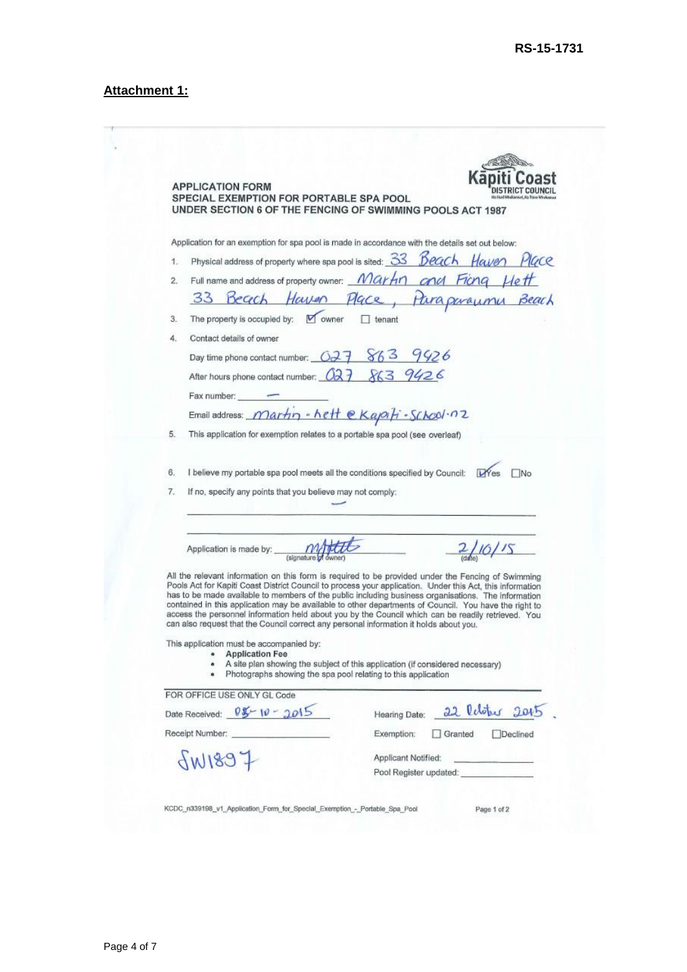# **Attachment 1:**

 $-7$ 

|     | <b>APPLICATION FORM</b><br>SPECIAL EXEMPTION FOR PORTABLE SPA POOL<br>UNDER SECTION 6 OF THE FENCING OF SWIMMING POOLS ACT 1987                                                                                                                                                                                                                                                                                                                                                                                                                                                                                                                                                                            |                                                                               |                     |                                                |                                                                                                                                                                                                                                      |
|-----|------------------------------------------------------------------------------------------------------------------------------------------------------------------------------------------------------------------------------------------------------------------------------------------------------------------------------------------------------------------------------------------------------------------------------------------------------------------------------------------------------------------------------------------------------------------------------------------------------------------------------------------------------------------------------------------------------------|-------------------------------------------------------------------------------|---------------------|------------------------------------------------|--------------------------------------------------------------------------------------------------------------------------------------------------------------------------------------------------------------------------------------|
|     | Application for an exemption for spa pool is made in accordance with the details set out below:                                                                                                                                                                                                                                                                                                                                                                                                                                                                                                                                                                                                            |                                                                               |                     |                                                |                                                                                                                                                                                                                                      |
| 1.  | Physical address of property where spa pool is sited: 33 Beach Haven                                                                                                                                                                                                                                                                                                                                                                                                                                                                                                                                                                                                                                       |                                                                               |                     |                                                | Mace                                                                                                                                                                                                                                 |
| 2.1 | Full name and address of property owner: Martin and Ficng Heft                                                                                                                                                                                                                                                                                                                                                                                                                                                                                                                                                                                                                                             |                                                                               |                     |                                                |                                                                                                                                                                                                                                      |
|     |                                                                                                                                                                                                                                                                                                                                                                                                                                                                                                                                                                                                                                                                                                            | Beach Haven Place, Paraproximu Beach                                          |                     |                                                |                                                                                                                                                                                                                                      |
| 3.  | The property is occupied by: $\blacksquare$ owner                                                                                                                                                                                                                                                                                                                                                                                                                                                                                                                                                                                                                                                          |                                                                               | $\Box$ tenant       |                                                |                                                                                                                                                                                                                                      |
| 4.  | Contact details of owner                                                                                                                                                                                                                                                                                                                                                                                                                                                                                                                                                                                                                                                                                   |                                                                               |                     |                                                |                                                                                                                                                                                                                                      |
|     | Day time phone contact number: 027 863                                                                                                                                                                                                                                                                                                                                                                                                                                                                                                                                                                                                                                                                     |                                                                               |                     | 9926                                           |                                                                                                                                                                                                                                      |
|     | After hours phone contact number: 027 863 9426                                                                                                                                                                                                                                                                                                                                                                                                                                                                                                                                                                                                                                                             |                                                                               |                     |                                                |                                                                                                                                                                                                                                      |
|     | Fax number:                                                                                                                                                                                                                                                                                                                                                                                                                                                                                                                                                                                                                                                                                                |                                                                               |                     |                                                |                                                                                                                                                                                                                                      |
|     | Email address: <i>Martin</i> - hett e Kapifi - School . n 2                                                                                                                                                                                                                                                                                                                                                                                                                                                                                                                                                                                                                                                |                                                                               |                     |                                                |                                                                                                                                                                                                                                      |
| 5.  | This application for exemption relates to a portable spa pool (see overleaf)                                                                                                                                                                                                                                                                                                                                                                                                                                                                                                                                                                                                                               |                                                                               |                     |                                                |                                                                                                                                                                                                                                      |
|     |                                                                                                                                                                                                                                                                                                                                                                                                                                                                                                                                                                                                                                                                                                            |                                                                               |                     |                                                |                                                                                                                                                                                                                                      |
|     |                                                                                                                                                                                                                                                                                                                                                                                                                                                                                                                                                                                                                                                                                                            |                                                                               |                     |                                                |                                                                                                                                                                                                                                      |
|     |                                                                                                                                                                                                                                                                                                                                                                                                                                                                                                                                                                                                                                                                                                            |                                                                               |                     |                                                |                                                                                                                                                                                                                                      |
| 6.  | I believe my portable spa pool meets all the conditions specified by Council:                                                                                                                                                                                                                                                                                                                                                                                                                                                                                                                                                                                                                              |                                                                               |                     |                                                | TNo.<br><b>LY</b> es                                                                                                                                                                                                                 |
| 7.  | If no, specify any points that you believe may not comply:                                                                                                                                                                                                                                                                                                                                                                                                                                                                                                                                                                                                                                                 |                                                                               |                     |                                                |                                                                                                                                                                                                                                      |
|     |                                                                                                                                                                                                                                                                                                                                                                                                                                                                                                                                                                                                                                                                                                            |                                                                               |                     |                                                |                                                                                                                                                                                                                                      |
|     |                                                                                                                                                                                                                                                                                                                                                                                                                                                                                                                                                                                                                                                                                                            |                                                                               |                     |                                                |                                                                                                                                                                                                                                      |
|     |                                                                                                                                                                                                                                                                                                                                                                                                                                                                                                                                                                                                                                                                                                            |                                                                               |                     |                                                |                                                                                                                                                                                                                                      |
|     | All the relevant information on this form is required to be provided under the Fencing of Swimming<br>Pools Act for Kapiti Coast District Council to process your application. Under this Act, this information<br>has to be made available to members of the public including business organisations. The information<br>contained in this application may be available to other departments of Council. You have the right to<br>access the personnel information held about you by the Council which can be readily retrieved. You<br>can also request that the Council correct any personal information it holds about you.<br>This application must be accompanied by:<br><b>Application Fee</b><br>۰ | A site plan showing the subject of this application (if considered necessary) |                     |                                                |                                                                                                                                                                                                                                      |
|     | ö                                                                                                                                                                                                                                                                                                                                                                                                                                                                                                                                                                                                                                                                                                          | Photographs showing the spa pool relating to this application                 |                     |                                                |                                                                                                                                                                                                                                      |
|     | FOR OFFICE USE ONLY GL Code                                                                                                                                                                                                                                                                                                                                                                                                                                                                                                                                                                                                                                                                                |                                                                               |                     |                                                |                                                                                                                                                                                                                                      |
|     | Date Received: $95 - 10 - 2015$                                                                                                                                                                                                                                                                                                                                                                                                                                                                                                                                                                                                                                                                            |                                                                               | Hearing Date:       |                                                | 22 Relater 2015                                                                                                                                                                                                                      |
|     | Receipt Number: Necessary Section 2014                                                                                                                                                                                                                                                                                                                                                                                                                                                                                                                                                                                                                                                                     |                                                                               | Exemption:          | Granted                                        | Declined                                                                                                                                                                                                                             |
|     |                                                                                                                                                                                                                                                                                                                                                                                                                                                                                                                                                                                                                                                                                                            |                                                                               | Applicant Notified: |                                                | <u>in the community of the community of the community of the community of the community of the community of the community of the community of the community of the community of the community of the community of the community </u> |
|     | f881W                                                                                                                                                                                                                                                                                                                                                                                                                                                                                                                                                                                                                                                                                                      |                                                                               |                     | Pool Register updated: North Marian Contractor |                                                                                                                                                                                                                                      |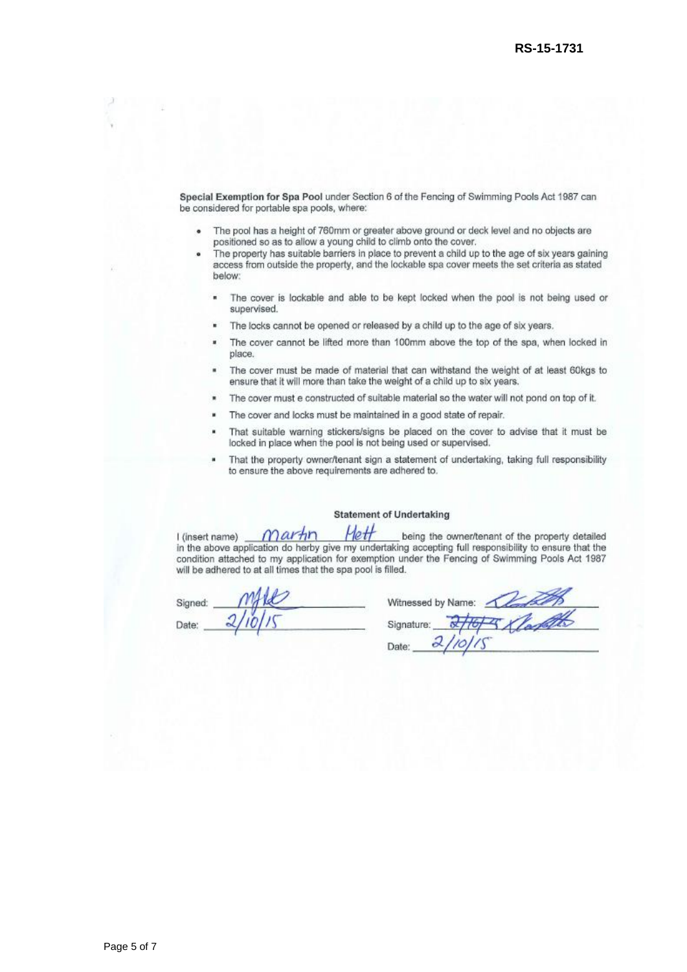Special Exemption for Spa Pool under Section 6 of the Fencing of Swimming Pools Act 1987 can be considered for portable spa pools, where:

- The pool has a height of 760mm or greater above ground or deck level and no objects are positioned so as to allow a young child to climb onto the cover.
- The property has suitable barriers in place to prevent a child up to the age of six years gaining ä access from outside the property, and the lockable spa cover meets the set criteria as stated below:
	- × The cover is lockable and able to be kept locked when the pool is not being used or supervised.
	- The locks cannot be opened or released by a child up to the age of six years.  $\blacksquare$
	- The cover cannot be lifted more than 100mm above the top of the spa, when locked in  $\blacksquare$ place.
	- The cover must be made of material that can withstand the weight of at least 60kgs to ensure that it will more than take the weight of a child up to six years.
	- The cover must e constructed of suitable material so the water will not pond on top of it.
	- The cover and locks must be maintained in a good state of repair.
	- That suitable warning stickers/signs be placed on the cover to advise that it must be locked in place when the pool is not being used or supervised.
	- That the property owner/tenant sign a statement of undertaking, taking full responsibility to ensure the above requirements are adhered to.

#### **Statement of Undertaking**

Hett Martin I (insert name) being the owner/tenant of the property detailed in the above application do herby give my undertaking accepting full responsibility to ensure that the condition attached to my application for exemption under the Fencing of Swimming Pools Act 1987 will be adhered to at all times that the spa pool is filled.

Signed Date:

| Witnessed by Name: |
|--------------------|
| Signature:         |
| Date:              |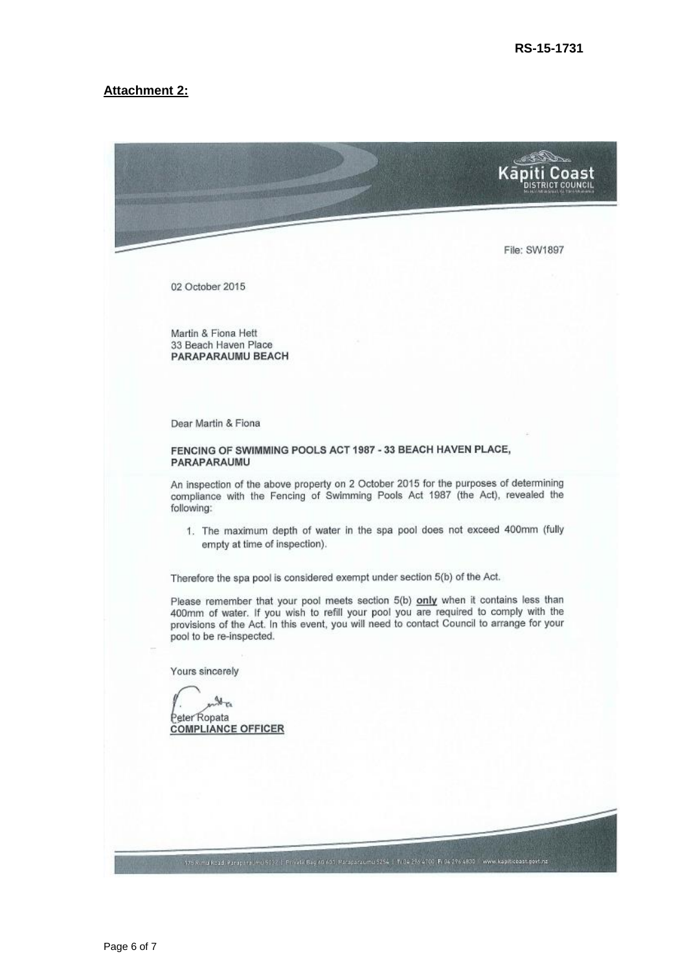#### **Attachment 2:**

Kā Coast File: SW1897 02 October 2015 Martin & Fiona Hett 33 Beach Haven Place PARAPARAUMU BEACH Dear Martin & Fiona FENCING OF SWIMMING POOLS ACT 1987 - 33 BEACH HAVEN PLACE, PARAPARAUMU An inspection of the above property on 2 October 2015 for the purposes of determining compliance with the Fencing of Swimming Pools Act 1987 (the Act), revealed the following: 1. The maximum depth of water in the spa pool does not exceed 400mm (fully empty at time of inspection). Therefore the spa pool is considered exempt under section 5(b) of the Act. Please remember that your pool meets section 5(b) only when it contains less than 400mm of water. If you wish to refill your pool you are required to comply with the provisions of the Act. In this event, you will need to contact Council to arrange for your pool to be re-inspected. Yours sincerely S T. eter Ropata **COMPLIANCE OFFICER** 175 Rims Road, Paraparating 9032 | Private Bay 60 601 Ps caparacing 5254 | 1:04 236 4700 Pr 04 296 4830 | www.kapit.coast.govt.nz